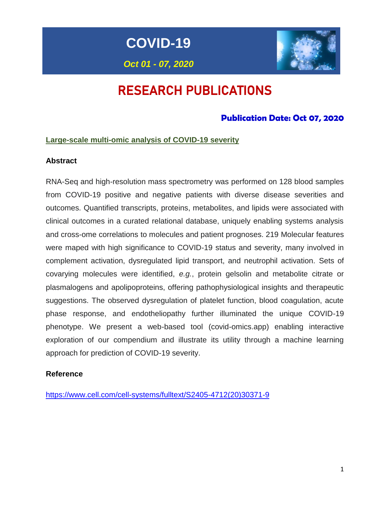**COVID-19**

# *Oct 01 - 07, 2020*

# RESEARCH PUBLICATIONS

# **Publication Date: Oct 07, 2020**

# **Large-scale multi-omic analysis of COVID-19 severity**

# **Abstract**

RNA-Seq and high-resolution mass spectrometry was performed on 128 blood samples from COVID-19 positive and negative patients with diverse disease severities and outcomes. Quantified transcripts, proteins, metabolites, and lipids were associated with clinical outcomes in a curated relational database, uniquely enabling systems analysis and cross-ome correlations to molecules and patient prognoses. 219 Molecular features were maped with high significance to COVID-19 status and severity, many involved in complement activation, dysregulated lipid transport, and neutrophil activation. Sets of covarying molecules were identified, *e.g.*, protein gelsolin and metabolite citrate or plasmalogens and apolipoproteins, offering pathophysiological insights and therapeutic suggestions. The observed dysregulation of platelet function, blood coagulation, acute phase response, and endotheliopathy further illuminated the unique COVID-19 phenotype. We present a web-based tool (covid-omics.app) enabling interactive exploration of our compendium and illustrate its utility through a machine learning approach for prediction of COVID-19 severity.

# **Reference**

[https://www.cell.com/cell-systems/fulltext/S2405-4712\(20\)30371-9](https://www.cell.com/cell-systems/fulltext/S2405-4712(20)30371-9)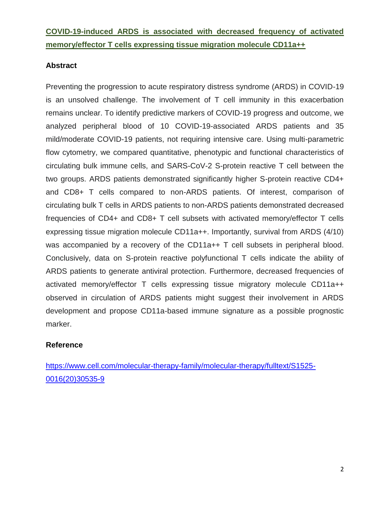# **COVID-19-induced ARDS is associated with decreased frequency of activated memory/effector T cells expressing tissue migration molecule CD11a++**

# **Abstract**

Preventing the progression to acute respiratory distress syndrome (ARDS) in COVID-19 is an unsolved challenge. The involvement of T cell immunity in this exacerbation remains unclear. To identify predictive markers of COVID-19 progress and outcome, we analyzed peripheral blood of 10 COVID-19-associated ARDS patients and 35 mild/moderate COVID-19 patients, not requiring intensive care. Using multi-parametric flow cytometry, we compared quantitative, phenotypic and functional characteristics of circulating bulk immune cells, and SARS-CoV-2 S-protein reactive T cell between the two groups. ARDS patients demonstrated significantly higher S-protein reactive CD4+ and CD8+ T cells compared to non-ARDS patients. Of interest, comparison of circulating bulk T cells in ARDS patients to non-ARDS patients demonstrated decreased frequencies of CD4+ and CD8+ T cell subsets with activated memory/effector T cells expressing tissue migration molecule CD11a++. Importantly, survival from ARDS (4/10) was accompanied by a recovery of the CD11a++ T cell subsets in peripheral blood. Conclusively, data on S-protein reactive polyfunctional T cells indicate the ability of ARDS patients to generate antiviral protection. Furthermore, decreased frequencies of activated memory/effector T cells expressing tissue migratory molecule CD11a++ observed in circulation of ARDS patients might suggest their involvement in ARDS development and propose CD11a-based immune signature as a possible prognostic marker.

# **Reference**

[https://www.cell.com/molecular-therapy-family/molecular-therapy/fulltext/S1525-](https://www.cell.com/molecular-therapy-family/molecular-therapy/fulltext/S1525-0016(20)30535-9) [0016\(20\)30535-9](https://www.cell.com/molecular-therapy-family/molecular-therapy/fulltext/S1525-0016(20)30535-9)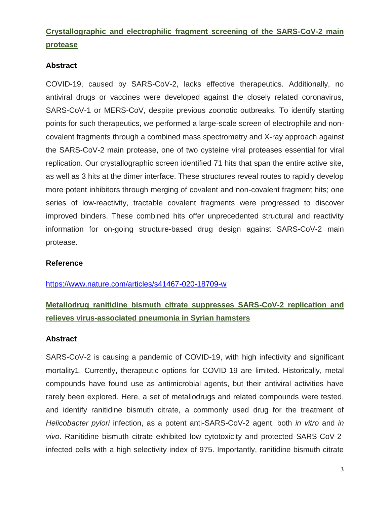# **Crystallographic and electrophilic fragment screening of the SARS-CoV-2 main protease**

# **Abstract**

COVID-19, caused by SARS-CoV-2, lacks effective therapeutics. Additionally, no antiviral drugs or vaccines were developed against the closely related coronavirus, SARS-CoV-1 or MERS-CoV, despite previous zoonotic outbreaks. To identify starting points for such therapeutics, we performed a large-scale screen of electrophile and noncovalent fragments through a combined mass spectrometry and X-ray approach against the SARS-CoV-2 main protease, one of two cysteine viral proteases essential for viral replication. Our crystallographic screen identified 71 hits that span the entire active site, as well as 3 hits at the dimer interface. These structures reveal routes to rapidly develop more potent inhibitors through merging of covalent and non-covalent fragment hits; one series of low-reactivity, tractable covalent fragments were progressed to discover improved binders. These combined hits offer unprecedented structural and reactivity information for on-going structure-based drug design against SARS-CoV-2 main protease.

# **Reference**

<https://www.nature.com/articles/s41467-020-18709-w>

# **Metallodrug ranitidine bismuth citrate suppresses SARS-CoV-2 replication and relieves virus-associated pneumonia in Syrian hamsters**

#### **Abstract**

SARS-CoV-2 is causing a pandemic of COVID-19, with high infectivity and significant mortality1. Currently, therapeutic options for COVID-19 are limited. Historically, metal compounds have found use as antimicrobial agents, but their antiviral activities have rarely been explored. Here, a set of metallodrugs and related compounds were tested, and identify ranitidine bismuth citrate, a commonly used drug for the treatment of *Helicobacter pylori* infection, as a potent anti-SARS-CoV-2 agent, both *in vitro* and *in vivo*. Ranitidine bismuth citrate exhibited low cytotoxicity and protected SARS-CoV-2 infected cells with a high selectivity index of 975. Importantly, ranitidine bismuth citrate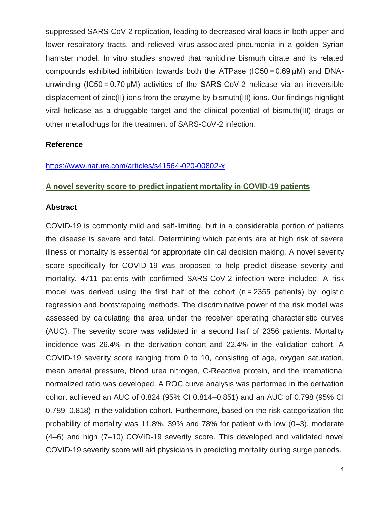suppressed SARS-CoV-2 replication, leading to decreased viral loads in both upper and lower respiratory tracts, and relieved virus-associated pneumonia in a golden Syrian hamster model. In vitro studies showed that ranitidine bismuth citrate and its related compounds exhibited inhibition towards both the ATPase (IC50 = 0.69 µM) and DNAunwinding (IC50 = 0.70 µM) activities of the SARS-CoV-2 helicase via an irreversible displacement of zinc(II) ions from the enzyme by bismuth(III) ions. Our findings highlight viral helicase as a druggable target and the clinical potential of bismuth(III) drugs or other metallodrugs for the treatment of SARS-CoV-2 infection.

# **Reference**

#### <https://www.nature.com/articles/s41564-020-00802-x>

#### **A novel severity score to predict inpatient mortality in COVID-19 patients**

#### **Abstract**

COVID-19 is commonly mild and self-limiting, but in a considerable portion of patients the disease is severe and fatal. Determining which patients are at high risk of severe illness or mortality is essential for appropriate clinical decision making. A novel severity score specifically for COVID-19 was proposed to help predict disease severity and mortality. 4711 patients with confirmed SARS-CoV-2 infection were included. A risk model was derived using the first half of the cohort (n = 2355 patients) by logistic regression and bootstrapping methods. The discriminative power of the risk model was assessed by calculating the area under the receiver operating characteristic curves (AUC). The severity score was validated in a second half of 2356 patients. Mortality incidence was 26.4% in the derivation cohort and 22.4% in the validation cohort. A COVID-19 severity score ranging from 0 to 10, consisting of age, oxygen saturation, mean arterial pressure, blood urea nitrogen, C-Reactive protein, and the international normalized ratio was developed. A ROC curve analysis was performed in the derivation cohort achieved an AUC of 0.824 (95% CI 0.814–0.851) and an AUC of 0.798 (95% CI 0.789–0.818) in the validation cohort. Furthermore, based on the risk categorization the probability of mortality was 11.8%, 39% and 78% for patient with low (0–3), moderate (4–6) and high (7–10) COVID-19 severity score. This developed and validated novel COVID-19 severity score will aid physicians in predicting mortality during surge periods.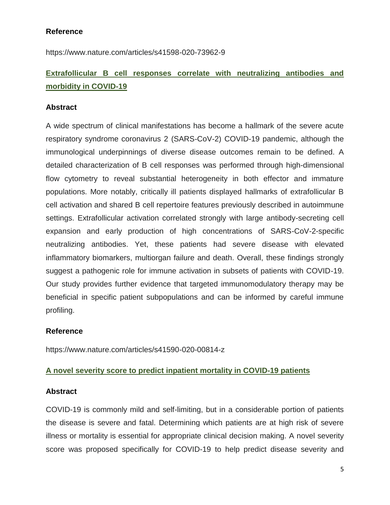# **Reference**

https://www.nature.com/articles/s41598-020-73962-9

# **Extrafollicular B cell responses correlate with neutralizing antibodies and morbidity in COVID-19**

# **Abstract**

A wide spectrum of clinical manifestations has become a hallmark of the severe acute respiratory syndrome coronavirus 2 (SARS-CoV-2) COVID-19 pandemic, although the immunological underpinnings of diverse disease outcomes remain to be defined. A detailed characterization of B cell responses was performed through high-dimensional flow cytometry to reveal substantial heterogeneity in both effector and immature populations. More notably, critically ill patients displayed hallmarks of extrafollicular B cell activation and shared B cell repertoire features previously described in autoimmune settings. Extrafollicular activation correlated strongly with large antibody-secreting cell expansion and early production of high concentrations of SARS-CoV-2-specific neutralizing antibodies. Yet, these patients had severe disease with elevated inflammatory biomarkers, multiorgan failure and death. Overall, these findings strongly suggest a pathogenic role for immune activation in subsets of patients with COVID-19. Our study provides further evidence that targeted immunomodulatory therapy may be beneficial in specific patient subpopulations and can be informed by careful immune profiling.

# **Reference**

https://www.nature.com/articles/s41590-020-00814-z

# **A novel severity score to predict inpatient mortality in COVID-19 patients**

# **Abstract**

COVID-19 is commonly mild and self-limiting, but in a considerable portion of patients the disease is severe and fatal. Determining which patients are at high risk of severe illness or mortality is essential for appropriate clinical decision making. A novel severity score was proposed specifically for COVID-19 to help predict disease severity and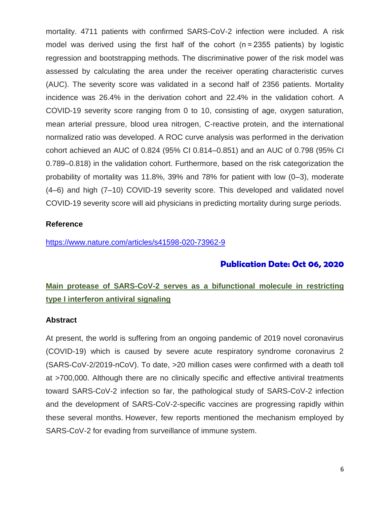mortality. 4711 patients with confirmed SARS-CoV-2 infection were included. A risk model was derived using the first half of the cohort (n = 2355 patients) by logistic regression and bootstrapping methods. The discriminative power of the risk model was assessed by calculating the area under the receiver operating characteristic curves (AUC). The severity score was validated in a second half of 2356 patients. Mortality incidence was 26.4% in the derivation cohort and 22.4% in the validation cohort. A COVID-19 severity score ranging from 0 to 10, consisting of age, oxygen saturation, mean arterial pressure, blood urea nitrogen, C-reactive protein, and the international normalized ratio was developed. A ROC curve analysis was performed in the derivation cohort achieved an AUC of 0.824 (95% CI 0.814–0.851) and an AUC of 0.798 (95% CI 0.789–0.818) in the validation cohort. Furthermore, based on the risk categorization the probability of mortality was 11.8%, 39% and 78% for patient with low (0–3), moderate (4–6) and high (7–10) COVID-19 severity score. This developed and validated novel COVID-19 severity score will aid physicians in predicting mortality during surge periods.

# **Reference**

<https://www.nature.com/articles/s41598-020-73962-9>

# **Publication Date: Oct 06, 2020**

# **Main protease of SARS-CoV-2 serves as a bifunctional molecule in restricting type I interferon antiviral signaling**

# **Abstract**

At present, the world is suffering from an ongoing pandemic of 2019 novel coronavirus (COVID-19) which is caused by severe acute respiratory syndrome coronavirus 2 (SARS-CoV-2/2019-nCoV). To date, >20 million cases were confirmed with a death toll at >700,000. Although there are no clinically specific and effective antiviral treatments toward SARS-CoV-2 infection so far, the pathological study of SARS-CoV-2 infection and the development of SARS-CoV-2-specific vaccines are progressing rapidly within these several months. However, few reports mentioned the mechanism employed by SARS-CoV-2 for evading from surveillance of immune system.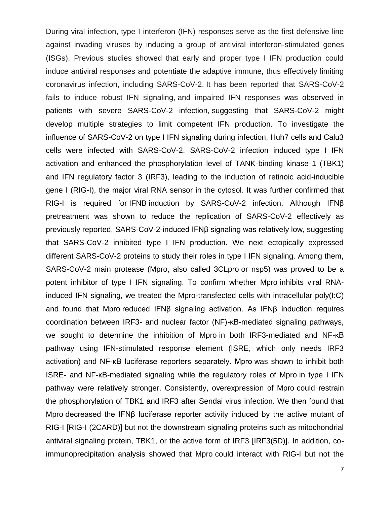During viral infection, type I interferon (IFN) responses serve as the first defensive line against invading viruses by inducing a group of antiviral interferon-stimulated genes (ISGs). Previous studies showed that early and proper type I IFN production could induce antiviral responses and potentiate the adaptive immune, thus effectively limiting coronavirus infection, including SARS-CoV-2. It has been reported that SARS-CoV-2 fails to induce robust IFN signaling, and impaired IFN responses was observed in patients with severe SARS-CoV-2 infection, suggesting that SARS-CoV-2 might develop multiple strategies to limit competent IFN production. To investigate the influence of SARS-CoV-2 on type I IFN signaling during infection, Huh7 cells and Calu3 cells were infected with SARS-CoV-2. SARS-CoV-2 infection induced type I IFN activation and enhanced the phosphorylation level of TANK-binding kinase 1 (TBK1) and IFN regulatory factor 3 (IRF3), leading to the induction of retinoic acid-inducible gene I (RIG-I), the major viral RNA sensor in the cytosol. It was further confirmed that RIG-I is required for IFNB induction by SARS-CoV-2 infection. Although IFNβ pretreatment was shown to reduce the replication of SARS-CoV-2 effectively as previously reported, SARS-CoV-2-induced IFNβ signaling was relatively low, suggesting that SARS-CoV-2 inhibited type I IFN production. We next ectopically expressed different SARS-CoV-2 proteins to study their roles in type I IFN signaling. Among them, SARS-CoV-2 main protease (Mpro, also called 3CLpro or nsp5) was proved to be a potent inhibitor of type I IFN signaling. To confirm whether Mpro inhibits viral RNAinduced IFN signaling, we treated the Mpro-transfected cells with intracellular poly(I:C) and found that Mpro reduced IFNβ signaling activation. As IFNβ induction requires coordination between IRF3- and nuclear factor (NF)-κB-mediated signaling pathways, we sought to determine the inhibition of Mpro in both IRF3-mediated and NF-κB pathway using IFN-stimulated response element (ISRE, which only needs IRF3 activation) and NF-κB luciferase reporters separately. Mpro was shown to inhibit both ISRE- and NF-κB-mediated signaling while the regulatory roles of Mpro in type I IFN pathway were relatively stronger. Consistently, overexpression of Mpro could restrain the phosphorylation of TBK1 and IRF3 after Sendai virus infection. We then found that Mpro decreased the IFNβ luciferase reporter activity induced by the active mutant of RIG-I [RIG-I (2CARD)] but not the downstream signaling proteins such as mitochondrial antiviral signaling protein, TBK1, or the active form of IRF3 [IRF3(5D)]. In addition, coimmunoprecipitation analysis showed that Mpro could interact with RIG-I but not the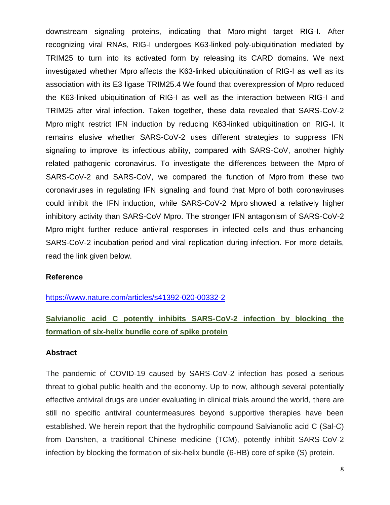downstream signaling proteins, indicating that Mpro might target RIG-I. After recognizing viral RNAs, RIG-I undergoes K63-linked poly-ubiquitination mediated by TRIM25 to turn into its activated form by releasing its CARD domains. We next investigated whether Mpro affects the K63-linked ubiquitination of RIG-I as well as its association with its E3 ligase TRIM25[.4](https://www.nature.com/articles/s41392-020-00332-2#ref-CR4) We found that overexpression of Mpro reduced the K63-linked ubiquitination of RIG-I as well as the interaction between RIG-I and TRIM25 after viral infection. Taken together, these data revealed that SARS-CoV-2 Mpro might restrict IFN induction by reducing K63-linked ubiquitination on RIG-I. It remains elusive whether SARS-CoV-2 uses different strategies to suppress IFN signaling to improve its infectious ability, compared with SARS-CoV, another highly related pathogenic coronavirus. To investigate the differences between the Mpro of SARS-CoV-2 and SARS-CoV, we compared the function of Mpro from these two coronaviruses in regulating IFN signaling and found that Mpro of both coronaviruses could inhibit the IFN induction, while SARS-CoV-2 Mpro showed a relatively higher inhibitory activity than SARS-CoV Mpro. The stronger IFN antagonism of SARS-CoV-2 Mpro might further reduce antiviral responses in infected cells and thus enhancing SARS-CoV-2 incubation period and viral replication during infection. For more details, read the link given below.

#### **Reference**

<https://www.nature.com/articles/s41392-020-00332-2>

# **Salvianolic acid C potently inhibits SARS-CoV-2 infection by blocking the formation of six-helix bundle core of spike protein**

# **Abstract**

The pandemic of COVID-19 caused by SARS-CoV-2 infection has posed a serious threat to global public health and the economy. Up to now, although several potentially effective antiviral drugs are under evaluating in clinical trials around the world, there are still no specific antiviral countermeasures beyond supportive therapies have been established. We herein report that the hydrophilic compound Salvianolic acid C (Sal-C) from Danshen, a traditional Chinese medicine (TCM), potently inhibit SARS-CoV-2 infection by blocking the formation of six-helix bundle (6-HB) core of spike (S) protein.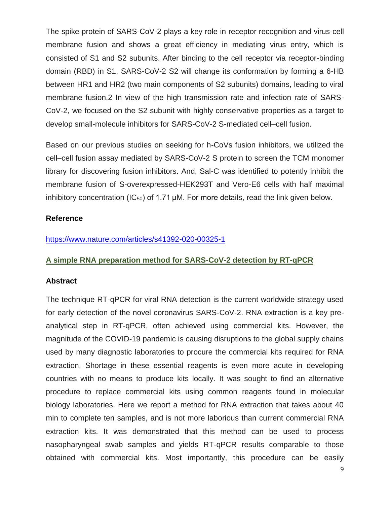The spike protein of SARS-CoV-2 plays a key role in receptor recognition and virus-cell membrane fusion and shows a great efficiency in mediating virus entry, which is consisted of S1 and S2 subunits. After binding to the cell receptor via receptor-binding domain (RBD) in S1, SARS-CoV-2 S2 will change its conformation by forming a 6-HB between HR1 and HR2 (two main components of S2 subunits) domains, leading to viral membrane fusion.2 In view of the high transmission rate and infection rate of SARS-CoV-2, we focused on the S2 subunit with highly conservative properties as a target to develop small-molecule inhibitors for SARS-CoV-2 S-mediated cell–cell fusion.

Based on our previous studies on seeking for h-CoVs fusion inhibitors, we utilized the cell–cell fusion assay mediated by SARS-CoV-2 S protein to screen the TCM monomer library for discovering fusion inhibitors. And, Sal-C was identified to potently inhibit the membrane fusion of S-overexpressed-HEK293T and Vero-E6 cells with half maximal inhibitory concentration ( $IC_{50}$ ) of 1.71  $µM$ . For more details, read the link given below.

# **Reference**

# <https://www.nature.com/articles/s41392-020-00325-1>

# **A simple RNA preparation method for SARS-CoV-2 detection by RT-qPCR**

# **Abstract**

The technique RT-qPCR for viral RNA detection is the current worldwide strategy used for early detection of the novel coronavirus SARS-CoV-2. RNA extraction is a key preanalytical step in RT-qPCR, often achieved using commercial kits. However, the magnitude of the COVID-19 pandemic is causing disruptions to the global supply chains used by many diagnostic laboratories to procure the commercial kits required for RNA extraction. Shortage in these essential reagents is even more acute in developing countries with no means to produce kits locally. It was sought to find an alternative procedure to replace commercial kits using common reagents found in molecular biology laboratories. Here we report a method for RNA extraction that takes about 40 min to complete ten samples, and is not more laborious than current commercial RNA extraction kits. It was demonstrated that this method can be used to process nasopharyngeal swab samples and yields RT-qPCR results comparable to those obtained with commercial kits. Most importantly, this procedure can be easily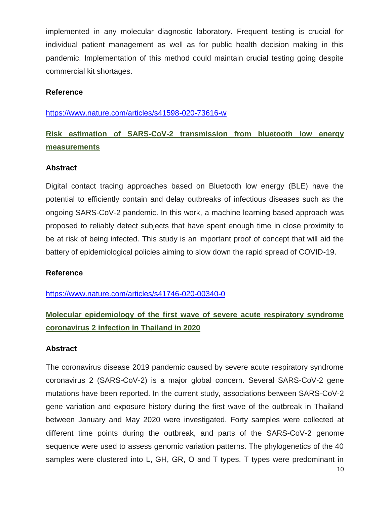implemented in any molecular diagnostic laboratory. Frequent testing is crucial for individual patient management as well as for public health decision making in this pandemic. Implementation of this method could maintain crucial testing going despite commercial kit shortages.

#### **Reference**

<https://www.nature.com/articles/s41598-020-73616-w>

# **Risk estimation of SARS-CoV-2 transmission from bluetooth low energy measurements**

#### **Abstract**

Digital contact tracing approaches based on Bluetooth low energy (BLE) have the potential to efficiently contain and delay outbreaks of infectious diseases such as the ongoing SARS-CoV-2 pandemic. In this work, a machine learning based approach was proposed to reliably detect subjects that have spent enough time in close proximity to be at risk of being infected. This study is an important proof of concept that will aid the battery of epidemiological policies aiming to slow down the rapid spread of COVID-19.

# **Reference**

<https://www.nature.com/articles/s41746-020-00340-0>

# **Molecular epidemiology of the first wave of severe acute respiratory syndrome coronavirus 2 infection in Thailand in 2020**

#### **Abstract**

The coronavirus disease 2019 pandemic caused by severe acute respiratory syndrome coronavirus 2 (SARS-CoV-2) is a major global concern. Several SARS-CoV-2 gene mutations have been reported. In the current study, associations between SARS-CoV-2 gene variation and exposure history during the first wave of the outbreak in Thailand between January and May 2020 were investigated. Forty samples were collected at different time points during the outbreak, and parts of the SARS-CoV-2 genome sequence were used to assess genomic variation patterns. The phylogenetics of the 40 samples were clustered into L, GH, GR, O and T types. T types were predominant in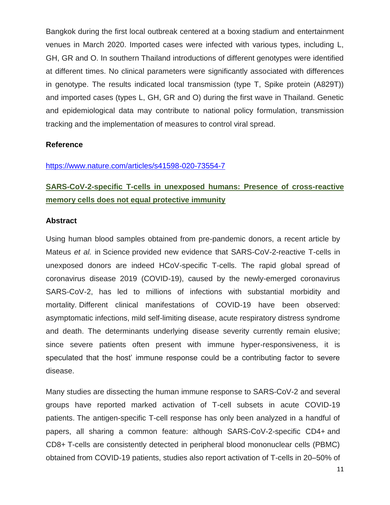Bangkok during the first local outbreak centered at a boxing stadium and entertainment venues in March 2020. Imported cases were infected with various types, including L, GH, GR and O. In southern Thailand introductions of different genotypes were identified at different times. No clinical parameters were significantly associated with differences in genotype. The results indicated local transmission (type T, Spike protein (A829T)) and imported cases (types L, GH, GR and O) during the first wave in Thailand. Genetic and epidemiological data may contribute to national policy formulation, transmission tracking and the implementation of measures to control viral spread.

# **Reference**

#### <https://www.nature.com/articles/s41598-020-73554-7>

# **SARS-CoV-2-specific T-cells in unexposed humans: Presence of cross-reactive memory cells does not equal protective immunity**

#### **Abstract**

Using human blood samples obtained from pre-pandemic donors, a recent article by Mateus *et al.* in Science provided new evidence that SARS-CoV-2-reactive T-cells in unexposed donors are indeed HCoV-specific T-cells. The rapid global spread of coronavirus disease 2019 (COVID-19), caused by the newly-emerged coronavirus SARS-CoV-2, has led to millions of infections with substantial morbidity and mortality. Different clinical manifestations of COVID-19 have been observed: asymptomatic infections, mild self-limiting disease, acute respiratory distress syndrome and death. The determinants underlying disease severity currently remain elusive; since severe patients often present with immune hyper-responsiveness, it is speculated that the host' immune response could be a contributing factor to severe disease.

Many studies are dissecting the human immune response to SARS-CoV-2 and several groups have reported marked activation of T-cell subsets in acute COVID-19 patients. The antigen-specific T-cell response has only been analyzed in a handful of papers, all sharing a common feature: although SARS-CoV-2-specific CD4+ and CD8+ T-cells are consistently detected in peripheral blood mononuclear cells (PBMC) obtained from COVID-19 patients, studies also report activation of T-cells in 20–50% of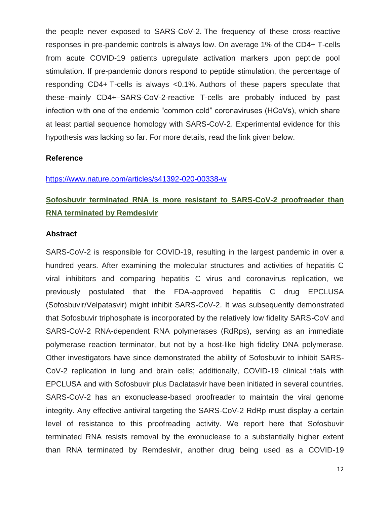the people never exposed to SARS-CoV-2. The frequency of these cross-reactive responses in pre-pandemic controls is always low. On average 1% of the CD4+ T-cells from acute COVID-19 patients upregulate activation markers upon peptide pool stimulation. If pre-pandemic donors respond to peptide stimulation, the percentage of responding CD4+ T-cells is always <0.1%. Authors of these papers speculate that these–mainly CD4+–SARS-CoV-2-reactive T-cells are probably induced by past infection with one of the endemic "common cold" coronaviruses (HCoVs), which share at least partial sequence homology with SARS-CoV-2. Experimental evidence for this hypothesis was lacking so far. For more details, read the link given below.

#### **Reference**

#### <https://www.nature.com/articles/s41392-020-00338-w>

# **Sofosbuvir terminated RNA is more resistant to SARS-CoV-2 proofreader than RNA terminated by Remdesivir**

#### **Abstract**

SARS-CoV-2 is responsible for COVID-19, resulting in the largest pandemic in over a hundred years. After examining the molecular structures and activities of hepatitis C viral inhibitors and comparing hepatitis C virus and coronavirus replication, we previously postulated that the FDA-approved hepatitis C drug EPCLUSA (Sofosbuvir/Velpatasvir) might inhibit SARS-CoV-2. It was subsequently demonstrated that Sofosbuvir triphosphate is incorporated by the relatively low fidelity SARS-CoV and SARS-CoV-2 RNA-dependent RNA polymerases (RdRps), serving as an immediate polymerase reaction terminator, but not by a host-like high fidelity DNA polymerase. Other investigators have since demonstrated the ability of Sofosbuvir to inhibit SARS-CoV-2 replication in lung and brain cells; additionally, COVID-19 clinical trials with EPCLUSA and with Sofosbuvir plus Daclatasvir have been initiated in several countries. SARS-CoV-2 has an exonuclease-based proofreader to maintain the viral genome integrity. Any effective antiviral targeting the SARS-CoV-2 RdRp must display a certain level of resistance to this proofreading activity. We report here that Sofosbuvir terminated RNA resists removal by the exonuclease to a substantially higher extent than RNA terminated by Remdesivir, another drug being used as a COVID-19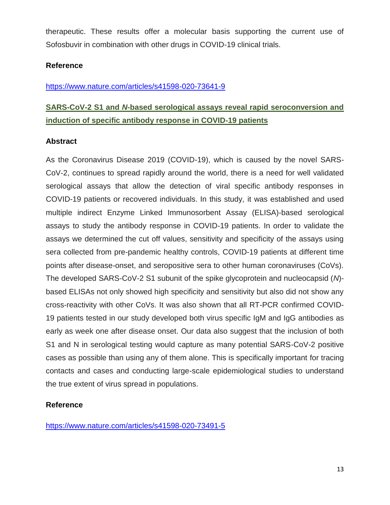therapeutic. These results offer a molecular basis supporting the current use of Sofosbuvir in combination with other drugs in COVID-19 clinical trials.

# **Reference**

# <https://www.nature.com/articles/s41598-020-73641-9>

# **SARS-CoV-2 S1 and** *N***-based serological assays reveal rapid seroconversion and induction of specific antibody response in COVID-19 patients**

# **Abstract**

As the Coronavirus Disease 2019 (COVID-19), which is caused by the novel SARS-CoV-2, continues to spread rapidly around the world, there is a need for well validated serological assays that allow the detection of viral specific antibody responses in COVID-19 patients or recovered individuals. In this study, it was established and used multiple indirect Enzyme Linked Immunosorbent Assay (ELISA)-based serological assays to study the antibody response in COVID-19 patients. In order to validate the assays we determined the cut off values, sensitivity and specificity of the assays using sera collected from pre-pandemic healthy controls, COVID-19 patients at different time points after disease-onset, and seropositive sera to other human coronaviruses (CoVs). The developed SARS-CoV-2 S1 subunit of the spike glycoprotein and nucleocapsid (*N*) based ELISAs not only showed high specificity and sensitivity but also did not show any cross-reactivity with other CoVs. It was also shown that all RT-PCR confirmed COVID-19 patients tested in our study developed both virus specific IgM and IgG antibodies as early as week one after disease onset. Our data also suggest that the inclusion of both S1 and N in serological testing would capture as many potential SARS-CoV-2 positive cases as possible than using any of them alone. This is specifically important for tracing contacts and cases and conducting large-scale epidemiological studies to understand the true extent of virus spread in populations.

# **Reference**

<https://www.nature.com/articles/s41598-020-73491-5>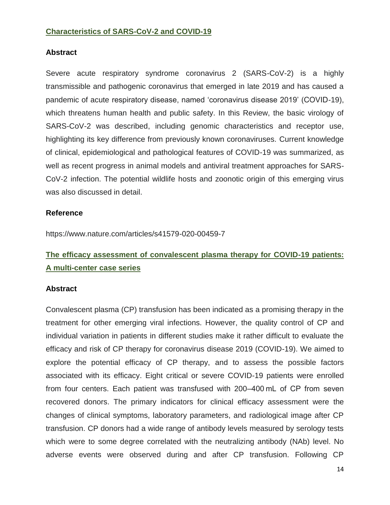# **Characteristics of SARS-CoV-2 and COVID-19**

#### **Abstract**

Severe acute respiratory syndrome coronavirus 2 (SARS-CoV-2) is a highly transmissible and pathogenic coronavirus that emerged in late 2019 and has caused a pandemic of acute respiratory disease, named 'coronavirus disease 2019' (COVID-19), which threatens human health and public safety. In this Review, the basic virology of SARS-CoV-2 was described, including genomic characteristics and receptor use, highlighting its key difference from previously known coronaviruses. Current knowledge of clinical, epidemiological and pathological features of COVID-19 was summarized, as well as recent progress in animal models and antiviral treatment approaches for SARS-CoV-2 infection. The potential wildlife hosts and zoonotic origin of this emerging virus was also discussed in detail.

#### **Reference**

https://www.nature.com/articles/s41579-020-00459-7

# **The efficacy assessment of convalescent plasma therapy for COVID-19 patients: A multi-center case series**

#### **Abstract**

Convalescent plasma (CP) transfusion has been indicated as a promising therapy in the treatment for other emerging viral infections. However, the quality control of CP and individual variation in patients in different studies make it rather difficult to evaluate the efficacy and risk of CP therapy for coronavirus disease 2019 (COVID-19). We aimed to explore the potential efficacy of CP therapy, and to assess the possible factors associated with its efficacy. Eight critical or severe COVID-19 patients were enrolled from four centers. Each patient was transfused with 200–400 mL of CP from seven recovered donors. The primary indicators for clinical efficacy assessment were the changes of clinical symptoms, laboratory parameters, and radiological image after CP transfusion. CP donors had a wide range of antibody levels measured by serology tests which were to some degree correlated with the neutralizing antibody (NAb) level. No adverse events were observed during and after CP transfusion. Following CP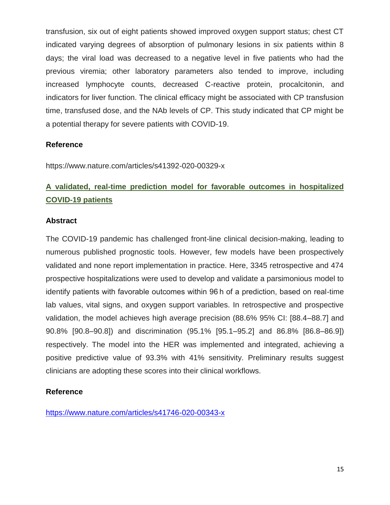transfusion, six out of eight patients showed improved oxygen support status; chest CT indicated varying degrees of absorption of pulmonary lesions in six patients within 8 days; the viral load was decreased to a negative level in five patients who had the previous viremia; other laboratory parameters also tended to improve, including increased lymphocyte counts, decreased C-reactive protein, procalcitonin, and indicators for liver function. The clinical efficacy might be associated with CP transfusion time, transfused dose, and the NAb levels of CP. This study indicated that CP might be a potential therapy for severe patients with COVID-19.

# **Reference**

https://www.nature.com/articles/s41392-020-00329-x

# **A validated, real-time prediction model for favorable outcomes in hospitalized COVID-19 patients**

#### **Abstract**

The COVID-19 pandemic has challenged front-line clinical decision-making, leading to numerous published prognostic tools. However, few models have been prospectively validated and none report implementation in practice. Here, 3345 retrospective and 474 prospective hospitalizations were used to develop and validate a parsimonious model to identify patients with favorable outcomes within 96 h of a prediction, based on real-time lab values, vital signs, and oxygen support variables. In retrospective and prospective validation, the model achieves high average precision (88.6% 95% CI: [88.4–88.7] and 90.8% [90.8–90.8]) and discrimination (95.1% [95.1–95.2] and 86.8% [86.8–86.9]) respectively. The model into the HER was implemented and integrated, achieving a positive predictive value of 93.3% with 41% sensitivity. Preliminary results suggest clinicians are adopting these scores into their clinical workflows.

# **Reference**

<https://www.nature.com/articles/s41746-020-00343-x>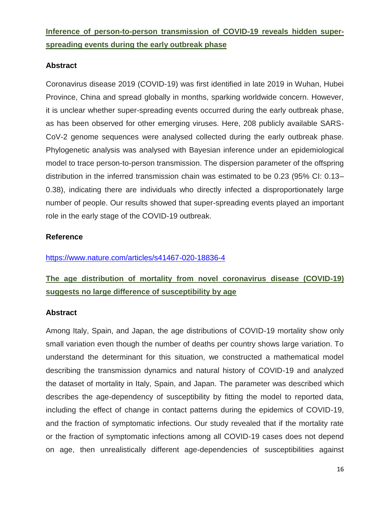**Inference of person-to-person transmission of COVID-19 reveals hidden superspreading events during the early outbreak phase**

### **Abstract**

Coronavirus disease 2019 (COVID-19) was first identified in late 2019 in Wuhan, Hubei Province, China and spread globally in months, sparking worldwide concern. However, it is unclear whether super-spreading events occurred during the early outbreak phase, as has been observed for other emerging viruses. Here, 208 publicly available SARS-CoV-2 genome sequences were analysed collected during the early outbreak phase. Phylogenetic analysis was analysed with Bayesian inference under an epidemiological model to trace person-to-person transmission. The dispersion parameter of the offspring distribution in the inferred transmission chain was estimated to be 0.23 (95% CI: 0.13– 0.38), indicating there are individuals who directly infected a disproportionately large number of people. Our results showed that super-spreading events played an important role in the early stage of the COVID-19 outbreak.

# **Reference**

<https://www.nature.com/articles/s41467-020-18836-4>

# **The age distribution of mortality from novel coronavirus disease (COVID-19) suggests no large difference of susceptibility by age**

#### **Abstract**

Among Italy, Spain, and Japan, the age distributions of COVID-19 mortality show only small variation even though the number of deaths per country shows large variation. To understand the determinant for this situation, we constructed a mathematical model describing the transmission dynamics and natural history of COVID-19 and analyzed the dataset of mortality in Italy, Spain, and Japan. The parameter was described which describes the age-dependency of susceptibility by fitting the model to reported data, including the effect of change in contact patterns during the epidemics of COVID-19, and the fraction of symptomatic infections. Our study revealed that if the mortality rate or the fraction of symptomatic infections among all COVID-19 cases does not depend on age, then unrealistically different age-dependencies of susceptibilities against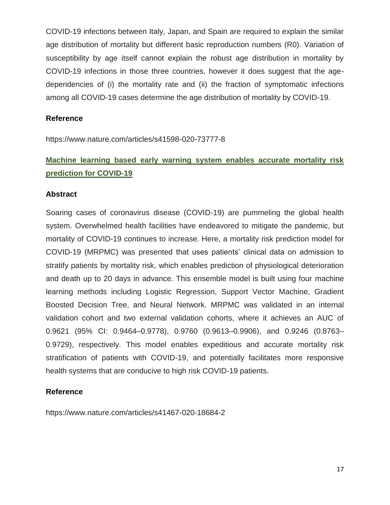COVID-19 infections between Italy, Japan, and Spain are required to explain the similar age distribution of mortality but different basic reproduction numbers (R0). Variation of susceptibility by age itself cannot explain the robust age distribution in mortality by COVID-19 infections in those three countries, however it does suggest that the agedependencies of (i) the mortality rate and (ii) the fraction of symptomatic infections among all COVID-19 cases determine the age distribution of mortality by COVID-19.

#### **Reference**

https://www.nature.com/articles/s41598-020-73777-8

# **Machine learning based early warning system enables accurate mortality risk prediction for COVID-19**

#### **Abstract**

Soaring cases of coronavirus disease (COVID-19) are pummeling the global health system. Overwhelmed health facilities have endeavored to mitigate the pandemic, but mortality of COVID-19 continues to increase. Here, a mortality risk prediction model for COVID-19 (MRPMC) was presented that uses patients' clinical data on admission to stratify patients by mortality risk, which enables prediction of physiological deterioration and death up to 20 days in advance. This ensemble model is built using four machine learning methods including Logistic Regression, Support Vector Machine, Gradient Boosted Decision Tree, and Neural Network. MRPMC was validated in an internal validation cohort and two external validation cohorts, where it achieves an AUC of 0.9621 (95% CI: 0.9464–0.9778), 0.9760 (0.9613–0.9906), and 0.9246 (0.8763– 0.9729), respectively. This model enables expeditious and accurate mortality risk stratification of patients with COVID-19, and potentially facilitates more responsive health systems that are conducive to high risk COVID-19 patients.

# **Reference**

https://www.nature.com/articles/s41467-020-18684-2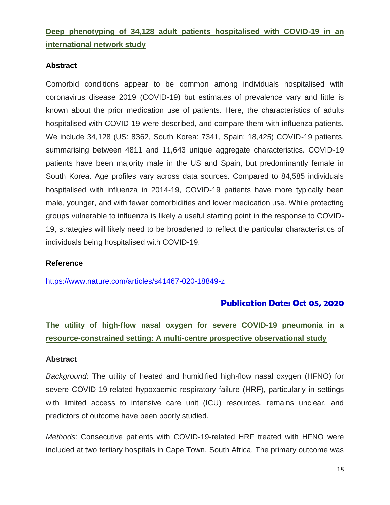**Deep phenotyping of 34,128 adult patients hospitalised with COVID-19 in an international network study**

### **Abstract**

Comorbid conditions appear to be common among individuals hospitalised with coronavirus disease 2019 (COVID-19) but estimates of prevalence vary and little is known about the prior medication use of patients. Here, the characteristics of adults hospitalised with COVID-19 were described, and compare them with influenza patients. We include 34,128 (US: 8362, South Korea: 7341, Spain: 18,425) COVID-19 patients, summarising between 4811 and 11,643 unique aggregate characteristics. COVID-19 patients have been majority male in the US and Spain, but predominantly female in South Korea. Age profiles vary across data sources. Compared to 84,585 individuals hospitalised with influenza in 2014-19, COVID-19 patients have more typically been male, younger, and with fewer comorbidities and lower medication use. While protecting groups vulnerable to influenza is likely a useful starting point in the response to COVID-19, strategies will likely need to be broadened to reflect the particular characteristics of individuals being hospitalised with COVID-19.

#### **Reference**

<https://www.nature.com/articles/s41467-020-18849-z>

# **Publication Date: Oct 05, 2020**

# **The utility of high-flow nasal oxygen for severe COVID-19 pneumonia in a resource-constrained setting: A multi-centre prospective observational study**

#### **Abstract**

*Background*: The utility of heated and humidified high-flow nasal oxygen (HFNO) for severe COVID-19-related hypoxaemic respiratory failure (HRF), particularly in settings with limited access to intensive care unit (ICU) resources, remains unclear, and predictors of outcome have been poorly studied.

*Methods*: Consecutive patients with COVID-19-related HRF treated with HFNO were included at two tertiary hospitals in Cape Town, South Africa. The primary outcome was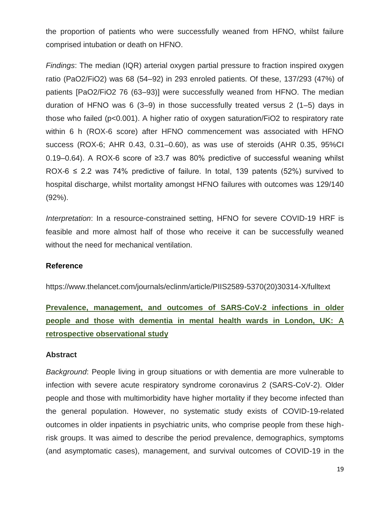the proportion of patients who were successfully weaned from HFNO, whilst failure comprised intubation or death on HFNO.

*Findings*: The median (IQR) arterial oxygen partial pressure to fraction inspired oxygen ratio (PaO2/FiO2) was 68 (54–92) in 293 enroled patients. Of these, 137/293 (47%) of patients [PaO2/FiO2 76 (63–93)] were successfully weaned from HFNO. The median duration of HFNO was 6 (3–9) in those successfully treated versus 2 (1–5) days in those who failed (p<0.001). A higher ratio of oxygen saturation/FiO2 to respiratory rate within 6 h (ROX-6 score) after HFNO commencement was associated with HFNO success (ROX-6; AHR 0.43, 0.31–0.60), as was use of steroids (AHR 0.35, 95%CI 0.19–0.64). A ROX-6 score of ≥3.7 was 80% predictive of successful weaning whilst ROX-6  $\leq$  2.2 was 74% predictive of failure. In total, 139 patents (52%) survived to hospital discharge, whilst mortality amongst HFNO failures with outcomes was 129/140 (92%).

*Interpretation*: In a resource-constrained setting, HFNO for severe COVID-19 HRF is feasible and more almost half of those who receive it can be successfully weaned without the need for mechanical ventilation.

#### **Reference**

https://www.thelancet.com/journals/eclinm/article/PIIS2589-5370(20)30314-X/fulltext

**Prevalence, management, and outcomes of SARS-CoV-2 infections in older people and those with dementia in mental health wards in London, UK: A retrospective observational study**

#### **Abstract**

*Background*: People living in group situations or with dementia are more vulnerable to infection with severe acute respiratory syndrome coronavirus 2 (SARS-CoV-2). Older people and those with multimorbidity have higher mortality if they become infected than the general population. However, no systematic study exists of COVID-19-related outcomes in older inpatients in psychiatric units, who comprise people from these highrisk groups. It was aimed to describe the period prevalence, demographics, symptoms (and asymptomatic cases), management, and survival outcomes of COVID-19 in the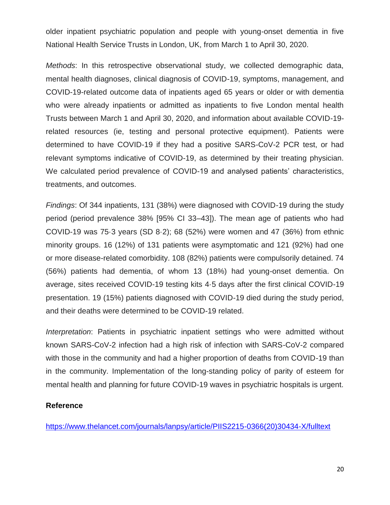older inpatient psychiatric population and people with young-onset dementia in five National Health Service Trusts in London, UK, from March 1 to April 30, 2020.

*Methods*: In this retrospective observational study, we collected demographic data, mental health diagnoses, clinical diagnosis of COVID-19, symptoms, management, and COVID-19-related outcome data of inpatients aged 65 years or older or with dementia who were already inpatients or admitted as inpatients to five London mental health Trusts between March 1 and April 30, 2020, and information about available COVID-19 related resources (ie, testing and personal protective equipment). Patients were determined to have COVID-19 if they had a positive SARS-CoV-2 PCR test, or had relevant symptoms indicative of COVID-19, as determined by their treating physician. We calculated period prevalence of COVID-19 and analysed patients' characteristics, treatments, and outcomes.

*Findings*: Of 344 inpatients, 131 (38%) were diagnosed with COVID-19 during the study period (period prevalence 38% [95% CI 33–43]). The mean age of patients who had COVID-19 was 75·3 years (SD 8·2); 68 (52%) were women and 47 (36%) from ethnic minority groups. 16 (12%) of 131 patients were asymptomatic and 121 (92%) had one or more disease-related comorbidity. 108 (82%) patients were compulsorily detained. 74 (56%) patients had dementia, of whom 13 (18%) had young-onset dementia. On average, sites received COVID-19 testing kits 4·5 days after the first clinical COVID-19 presentation. 19 (15%) patients diagnosed with COVID-19 died during the study period, and their deaths were determined to be COVID-19 related.

*Interpretation*: Patients in psychiatric inpatient settings who were admitted without known SARS-CoV-2 infection had a high risk of infection with SARS-CoV-2 compared with those in the community and had a higher proportion of deaths from COVID-19 than in the community. Implementation of the long-standing policy of parity of esteem for mental health and planning for future COVID-19 waves in psychiatric hospitals is urgent.

#### **Reference**

[https://www.thelancet.com/journals/lanpsy/article/PIIS2215-0366\(20\)30434-X/fulltext](https://www.thelancet.com/journals/lanpsy/article/PIIS2215-0366(20)30434-X/fulltext)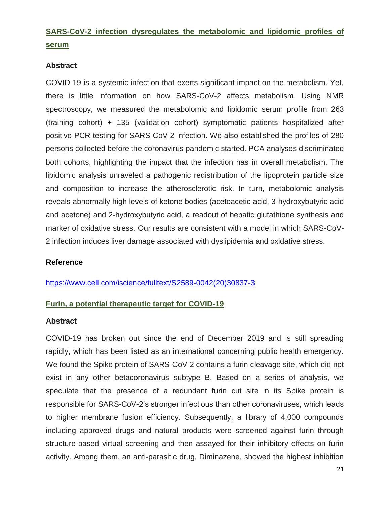# **SARS-CoV-2 infection dysregulates the metabolomic and lipidomic profiles of serum**

# **Abstract**

COVID-19 is a systemic infection that exerts significant impact on the metabolism. Yet, there is little information on how SARS-CoV-2 affects metabolism. Using NMR spectroscopy, we measured the metabolomic and lipidomic serum profile from 263 (training cohort) + 135 (validation cohort) symptomatic patients hospitalized after positive PCR testing for SARS-CoV-2 infection. We also established the profiles of 280 persons collected before the coronavirus pandemic started. PCA analyses discriminated both cohorts, highlighting the impact that the infection has in overall metabolism. The lipidomic analysis unraveled a pathogenic redistribution of the lipoprotein particle size and composition to increase the atherosclerotic risk. In turn, metabolomic analysis reveals abnormally high levels of ketone bodies (acetoacetic acid, 3-hydroxybutyric acid and acetone) and 2-hydroxybutyric acid, a readout of hepatic glutathione synthesis and marker of oxidative stress. Our results are consistent with a model in which SARS-CoV-2 infection induces liver damage associated with dyslipidemia and oxidative stress.

# **Reference**

[https://www.cell.com/iscience/fulltext/S2589-0042\(20\)30837-3](https://www.cell.com/iscience/fulltext/S2589-0042(20)30837-3)

# **Furin, a potential therapeutic target for COVID-19**

#### **Abstract**

COVID-19 has broken out since the end of December 2019 and is still spreading rapidly, which has been listed as an international concerning public health emergency. We found the Spike protein of SARS-CoV-2 contains a furin cleavage site, which did not exist in any other betacoronavirus subtype B. Based on a series of analysis, we speculate that the presence of a redundant furin cut site in its Spike protein is responsible for SARS-CoV-2's stronger infectious than other coronaviruses, which leads to higher membrane fusion efficiency. Subsequently, a library of 4,000 compounds including approved drugs and natural products were screened against furin through structure-based virtual screening and then assayed for their inhibitory effects on furin activity. Among them, an anti-parasitic drug, Diminazene, showed the highest inhibition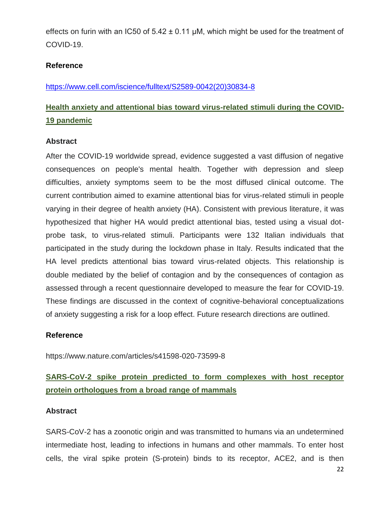effects on furin with an IC50 of  $5.42 \pm 0.11$  µM, which might be used for the treatment of COVID-19.

# **Reference**

[https://www.cell.com/iscience/fulltext/S2589-0042\(20\)30834-8](https://www.cell.com/iscience/fulltext/S2589-0042(20)30834-8)

# **Health anxiety and attentional bias toward virus-related stimuli during the COVID-19 pandemic**

# **Abstract**

After the COVID-19 worldwide spread, evidence suggested a vast diffusion of negative consequences on people's mental health. Together with depression and sleep difficulties, anxiety symptoms seem to be the most diffused clinical outcome. The current contribution aimed to examine attentional bias for virus-related stimuli in people varying in their degree of health anxiety (HA). Consistent with previous literature, it was hypothesized that higher HA would predict attentional bias, tested using a visual dotprobe task, to virus-related stimuli. Participants were 132 Italian individuals that participated in the study during the lockdown phase in Italy. Results indicated that the HA level predicts attentional bias toward virus-related objects. This relationship is double mediated by the belief of contagion and by the consequences of contagion as assessed through a recent questionnaire developed to measure the fear for COVID-19. These findings are discussed in the context of cognitive-behavioral conceptualizations of anxiety suggesting a risk for a loop effect. Future research directions are outlined.

# **Reference**

https://www.nature.com/articles/s41598-020-73599-8

# **SARS-CoV-2 spike protein predicted to form complexes with host receptor protein orthologues from a broad range of mammals**

# **Abstract**

SARS-CoV-2 has a zoonotic origin and was transmitted to humans via an undetermined intermediate host, leading to infections in humans and other mammals. To enter host cells, the viral spike protein (S-protein) binds to its receptor, ACE2, and is then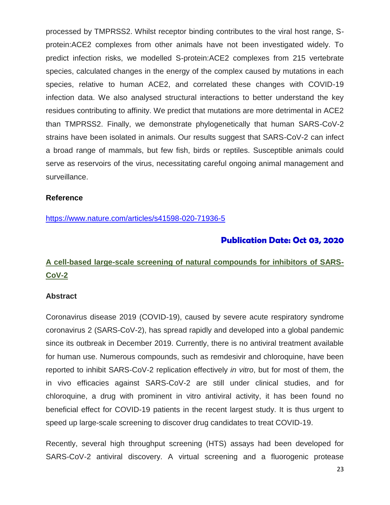processed by TMPRSS2. Whilst receptor binding contributes to the viral host range, Sprotein:ACE2 complexes from other animals have not been investigated widely. To predict infection risks, we modelled S-protein:ACE2 complexes from 215 vertebrate species, calculated changes in the energy of the complex caused by mutations in each species, relative to human ACE2, and correlated these changes with COVID-19 infection data. We also analysed structural interactions to better understand the key residues contributing to affinity. We predict that mutations are more detrimental in ACE2 than TMPRSS2. Finally, we demonstrate phylogenetically that human SARS-CoV-2 strains have been isolated in animals. Our results suggest that SARS-CoV-2 can infect a broad range of mammals, but few fish, birds or reptiles. Susceptible animals could serve as reservoirs of the virus, necessitating careful ongoing animal management and surveillance.

#### **Reference**

<https://www.nature.com/articles/s41598-020-71936-5>

# **Publication Date: Oct 03, 2020**

# **A cell-based large-scale screening of natural compounds for inhibitors of SARS-CoV-2**

#### **Abstract**

Coronavirus disease 2019 (COVID-19), caused by severe acute respiratory syndrome coronavirus 2 (SARS-CoV-2), has spread rapidly and developed into a global pandemic since its outbreak in December 2019. Currently, there is no antiviral treatment available for human use. Numerous compounds, such as remdesivir and chloroquine, have been reported to inhibit SARS-CoV-2 replication effectively *in vitro*, but for most of them, the in vivo efficacies against SARS-CoV-2 are still under clinical studies, and for chloroquine, a drug with prominent in vitro antiviral activity, it has been found no beneficial effect for COVID-19 patients in the recent largest study. It is thus urgent to speed up large-scale screening to discover drug candidates to treat COVID-19.

Recently, several high throughput screening (HTS) assays had been developed for SARS-CoV-2 antiviral discovery. A virtual screening and a fluorogenic protease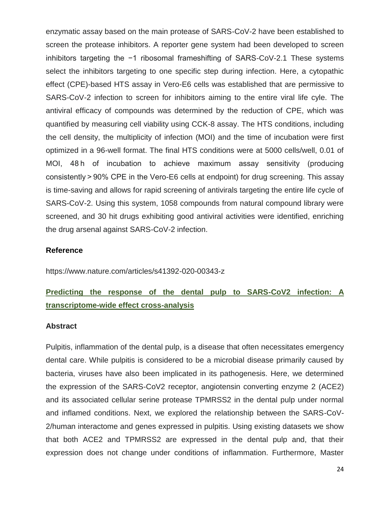enzymatic assay based on the main protease of SARS-CoV-2 have been established to screen the protease inhibitors. A reporter gene system had been developed to screen inhibitors targeting the −1 ribosomal frameshifting of SARS-CoV-2.1 These systems select the inhibitors targeting to one specific step during infection. Here, a cytopathic effect (CPE)-based HTS assay in Vero-E6 cells was established that are permissive to SARS-CoV-2 infection to screen for inhibitors aiming to the entire viral life cyle. The antiviral efficacy of compounds was determined by the reduction of CPE, which was quantified by measuring cell viability using CCK-8 assay. The HTS conditions, including the cell density, the multiplicity of infection (MOI) and the time of incubation were first optimized in a 96-well format. The final HTS conditions were at 5000 cells/well, 0.01 of MOI, 48 h of incubation to achieve maximum assay sensitivity (producing consistently > 90% CPE in the Vero-E6 cells at endpoint) for drug screening. This assay is time-saving and allows for rapid screening of antivirals targeting the entire life cycle of SARS-CoV-2. Using this system, 1058 compounds from natural compound library were screened, and 30 hit drugs exhibiting good antiviral activities were identified, enriching the drug arsenal against SARS-CoV-2 infection.

#### **Reference**

https://www.nature.com/articles/s41392-020-00343-z

# **Predicting the response of the dental pulp to SARS-CoV2 infection: A transcriptome-wide effect cross-analysis**

#### **Abstract**

Pulpitis, inflammation of the dental pulp, is a disease that often necessitates emergency dental care. While pulpitis is considered to be a microbial disease primarily caused by bacteria, viruses have also been implicated in its pathogenesis. Here, we determined the expression of the SARS-CoV2 receptor, angiotensin converting enzyme 2 (ACE2) and its associated cellular serine protease TPMRSS2 in the dental pulp under normal and inflamed conditions. Next, we explored the relationship between the SARS-CoV-2/human interactome and genes expressed in pulpitis. Using existing datasets we show that both ACE2 and TPMRSS2 are expressed in the dental pulp and, that their expression does not change under conditions of inflammation. Furthermore, Master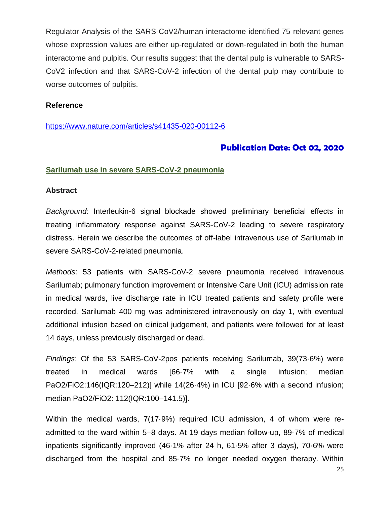Regulator Analysis of the SARS-CoV2/human interactome identified 75 relevant genes whose expression values are either up-regulated or down-regulated in both the human interactome and pulpitis. Our results suggest that the dental pulp is vulnerable to SARS-CoV2 infection and that SARS-CoV-2 infection of the dental pulp may contribute to worse outcomes of pulpitis.

#### **Reference**

#### <https://www.nature.com/articles/s41435-020-00112-6>

# **Publication Date: Oct 02, 2020**

#### **Sarilumab use in severe SARS-CoV-2 pneumonia**

#### **Abstract**

*Background*: Interleukin-6 signal blockade showed preliminary beneficial effects in treating inflammatory response against SARS-CoV-2 leading to severe respiratory distress. Herein we describe the outcomes of off-label intravenous use of Sarilumab in severe SARS-CoV-2-related pneumonia.

*Methods*: 53 patients with SARS-CoV-2 severe pneumonia received intravenous Sarilumab; pulmonary function improvement or Intensive Care Unit (ICU) admission rate in medical wards, live discharge rate in ICU treated patients and safety profile were recorded. Sarilumab 400 mg was administered intravenously on day 1, with eventual additional infusion based on clinical judgement, and patients were followed for at least 14 days, unless previously discharged or dead.

*Findings*: Of the 53 SARS-CoV-2pos patients receiving Sarilumab, 39(73·6%) were treated in medical wards [66·7% with a single infusion; median PaO2/FiO2:146(IQR:120–212)] while 14(26·4%) in ICU [92·6% with a second infusion; median PaO2/FiO2: 112(IQR:100–141.5)].

Within the medical wards, 7(17·9%) required ICU admission, 4 of whom were readmitted to the ward within 5–8 days. At 19 days median follow-up, 89·7% of medical inpatients significantly improved (46·1% after 24 h, 61·5% after 3 days), 70·6% were discharged from the hospital and 85·7% no longer needed oxygen therapy. Within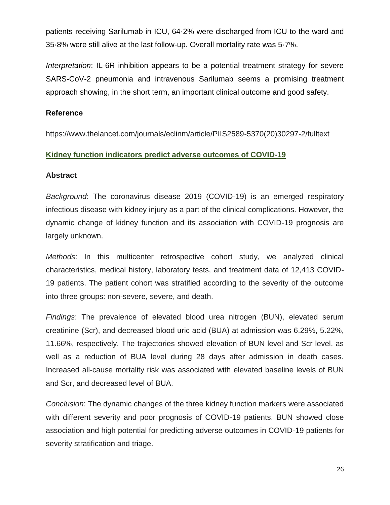patients receiving Sarilumab in ICU, 64·2% were discharged from ICU to the ward and 35·8% were still alive at the last follow-up. Overall mortality rate was 5·7%.

*Interpretation*: IL-6R inhibition appears to be a potential treatment strategy for severe SARS-CoV-2 pneumonia and intravenous Sarilumab seems a promising treatment approach showing, in the short term, an important clinical outcome and good safety.

# **Reference**

https://www.thelancet.com/journals/eclinm/article/PIIS2589-5370(20)30297-2/fulltext

# **Kidney function indicators predict adverse outcomes of COVID-19**

# **Abstract**

*Background*: The coronavirus disease 2019 (COVID-19) is an emerged respiratory infectious disease with kidney injury as a part of the clinical complications. However, the dynamic change of kidney function and its association with COVID-19 prognosis are largely unknown.

*Methods*: In this multicenter retrospective cohort study, we analyzed clinical characteristics, medical history, laboratory tests, and treatment data of 12,413 COVID-19 patients. The patient cohort was stratified according to the severity of the outcome into three groups: non-severe, severe, and death.

*Findings*: The prevalence of elevated blood urea nitrogen (BUN), elevated serum creatinine (Scr), and decreased blood uric acid (BUA) at admission was 6.29%, 5.22%, 11.66%, respectively. The trajectories showed elevation of BUN level and Scr level, as well as a reduction of BUA level during 28 days after admission in death cases. Increased all-cause mortality risk was associated with elevated baseline levels of BUN and Scr, and decreased level of BUA.

*Conclusion*: The dynamic changes of the three kidney function markers were associated with different severity and poor prognosis of COVID-19 patients. BUN showed close association and high potential for predicting adverse outcomes in COVID-19 patients for severity stratification and triage.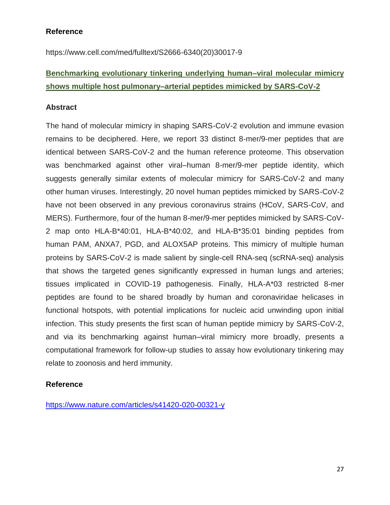# **Reference**

https://www.cell.com/med/fulltext/S2666-6340(20)30017-9

# **Benchmarking evolutionary tinkering underlying human–viral molecular mimicry shows multiple host pulmonary–arterial peptides mimicked by SARS-CoV-2**

# **Abstract**

The hand of molecular mimicry in shaping SARS-CoV-2 evolution and immune evasion remains to be deciphered. Here, we report 33 distinct 8-mer/9-mer peptides that are identical between SARS-CoV-2 and the human reference proteome. This observation was benchmarked against other viral–human 8-mer/9-mer peptide identity, which suggests generally similar extents of molecular mimicry for SARS-CoV-2 and many other human viruses. Interestingly, 20 novel human peptides mimicked by SARS-CoV-2 have not been observed in any previous coronavirus strains (HCoV, SARS-CoV, and MERS). Furthermore, four of the human 8-mer/9-mer peptides mimicked by SARS-CoV-2 map onto HLA-B\*40:01, HLA-B\*40:02, and HLA-B\*35:01 binding peptides from human PAM, ANXA7, PGD, and ALOX5AP proteins. This mimicry of multiple human proteins by SARS-CoV-2 is made salient by single-cell RNA-seq (scRNA-seq) analysis that shows the targeted genes significantly expressed in human lungs and arteries; tissues implicated in COVID-19 pathogenesis. Finally, HLA-A\*03 restricted 8-mer peptides are found to be shared broadly by human and coronaviridae helicases in functional hotspots, with potential implications for nucleic acid unwinding upon initial infection. This study presents the first scan of human peptide mimicry by SARS-CoV-2, and via its benchmarking against human–viral mimicry more broadly, presents a computational framework for follow-up studies to assay how evolutionary tinkering may relate to zoonosis and herd immunity.

# **Reference**

<https://www.nature.com/articles/s41420-020-00321-y>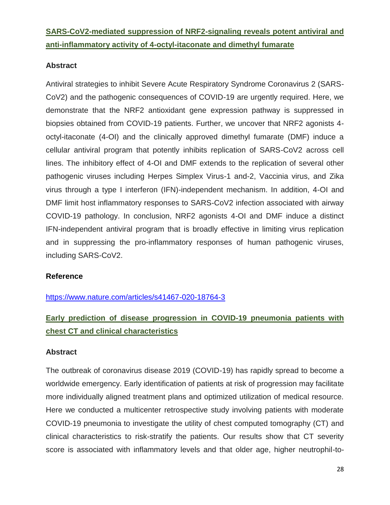# **SARS-CoV2-mediated suppression of NRF2-signaling reveals potent antiviral and anti-inflammatory activity of 4-octyl-itaconate and dimethyl fumarate**

# **Abstract**

Antiviral strategies to inhibit Severe Acute Respiratory Syndrome Coronavirus 2 (SARS-CoV2) and the pathogenic consequences of COVID-19 are urgently required. Here, we demonstrate that the NRF2 antioxidant gene expression pathway is suppressed in biopsies obtained from COVID-19 patients. Further, we uncover that NRF2 agonists 4 octyl-itaconate (4-OI) and the clinically approved dimethyl fumarate (DMF) induce a cellular antiviral program that potently inhibits replication of SARS-CoV2 across cell lines. The inhibitory effect of 4-OI and DMF extends to the replication of several other pathogenic viruses including Herpes Simplex Virus-1 and-2, Vaccinia virus, and Zika virus through a type I interferon (IFN)-independent mechanism. In addition, 4-OI and DMF limit host inflammatory responses to SARS-CoV2 infection associated with airway COVID-19 pathology. In conclusion, NRF2 agonists 4-OI and DMF induce a distinct IFN-independent antiviral program that is broadly effective in limiting virus replication and in suppressing the pro-inflammatory responses of human pathogenic viruses, including SARS-CoV2.

# **Reference**

<https://www.nature.com/articles/s41467-020-18764-3>

# **Early prediction of disease progression in COVID-19 pneumonia patients with chest CT and clinical characteristics**

# **Abstract**

The outbreak of coronavirus disease 2019 (COVID-19) has rapidly spread to become a worldwide emergency. Early identification of patients at risk of progression may facilitate more individually aligned treatment plans and optimized utilization of medical resource. Here we conducted a multicenter retrospective study involving patients with moderate COVID-19 pneumonia to investigate the utility of chest computed tomography (CT) and clinical characteristics to risk-stratify the patients. Our results show that CT severity score is associated with inflammatory levels and that older age, higher neutrophil-to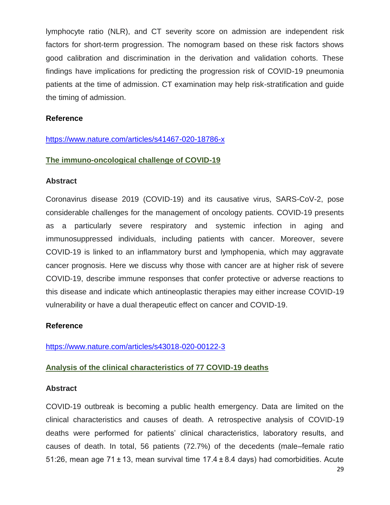lymphocyte ratio (NLR), and CT severity score on admission are independent risk factors for short-term progression. The nomogram based on these risk factors shows good calibration and discrimination in the derivation and validation cohorts. These findings have implications for predicting the progression risk of COVID-19 pneumonia patients at the time of admission. CT examination may help risk-stratification and guide the timing of admission.

#### **Reference**

#### <https://www.nature.com/articles/s41467-020-18786-x>

#### **The immuno-oncological challenge of COVID-19**

#### **Abstract**

Coronavirus disease 2019 (COVID-19) and its causative virus, SARS-CoV-2, pose considerable challenges for the management of oncology patients. COVID-19 presents as a particularly severe respiratory and systemic infection in aging and immunosuppressed individuals, including patients with cancer. Moreover, severe COVID-19 is linked to an inflammatory burst and lymphopenia, which may aggravate cancer prognosis. Here we discuss why those with cancer are at higher risk of severe COVID-19, describe immune responses that confer protective or adverse reactions to this disease and indicate which antineoplastic therapies may either increase COVID-19 vulnerability or have a dual therapeutic effect on cancer and COVID-19.

#### **Reference**

<https://www.nature.com/articles/s43018-020-00122-3>

# **Analysis of the clinical characteristics of 77 COVID-19 deaths**

#### **Abstract**

COVID-19 outbreak is becoming a public health emergency. Data are limited on the clinical characteristics and causes of death. A retrospective analysis of COVID-19 deaths were performed for patients' clinical characteristics, laboratory results, and causes of death. In total, 56 patients (72.7%) of the decedents (male–female ratio 51:26, mean age 71 ± 13, mean survival time 17.4 ± 8.4 days) had comorbidities. Acute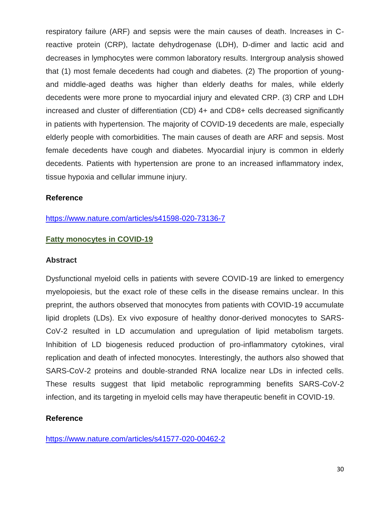respiratory failure (ARF) and sepsis were the main causes of death. Increases in Creactive protein (CRP), lactate dehydrogenase (LDH), D-dimer and lactic acid and decreases in lymphocytes were common laboratory results. Intergroup analysis showed that (1) most female decedents had cough and diabetes. (2) The proportion of youngand middle-aged deaths was higher than elderly deaths for males, while elderly decedents were more prone to myocardial injury and elevated CRP. (3) CRP and LDH increased and cluster of differentiation (CD) 4+ and CD8+ cells decreased significantly in patients with hypertension. The majority of COVID-19 decedents are male, especially elderly people with comorbidities. The main causes of death are ARF and sepsis. Most female decedents have cough and diabetes. Myocardial injury is common in elderly decedents. Patients with hypertension are prone to an increased inflammatory index, tissue hypoxia and cellular immune injury.

# **Reference**

<https://www.nature.com/articles/s41598-020-73136-7>

#### **Fatty monocytes in COVID-19**

#### **Abstract**

Dysfunctional myeloid cells in patients with severe COVID-19 are linked to emergency myelopoiesis, but the exact role of these cells in the disease remains unclear. In this preprint, the authors observed that monocytes from patients with COVID-19 accumulate lipid droplets (LDs). Ex vivo exposure of healthy donor-derived monocytes to SARS-CoV-2 resulted in LD accumulation and upregulation of lipid metabolism targets. Inhibition of LD biogenesis reduced production of pro-inflammatory cytokines, viral replication and death of infected monocytes. Interestingly, the authors also showed that SARS-CoV-2 proteins and double-stranded RNA localize near LDs in infected cells. These results suggest that lipid metabolic reprogramming benefits SARS-CoV-2 infection, and its targeting in myeloid cells may have therapeutic benefit in COVID-19.

#### **Reference**

<https://www.nature.com/articles/s41577-020-00462-2>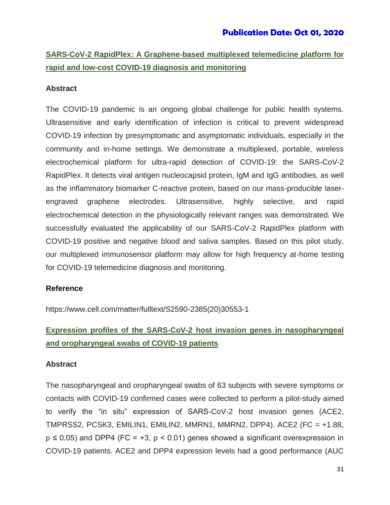# **SARS-CoV-2 RapidPlex: A Graphene-based multiplexed telemedicine platform for rapid and low-cost COVID-19 diagnosis and monitoring**

# **Abstract**

The COVID-19 pandemic is an ongoing global challenge for public health systems. Ultrasensitive and early identification of infection is critical to prevent widespread COVID-19 infection by presymptomatic and asymptomatic individuals, especially in the community and in-home settings. We demonstrate a multiplexed, portable, wireless electrochemical platform for ultra-rapid detection of COVID-19: the SARS-CoV-2 RapidPlex. It detects viral antigen nucleocapsid protein, IgM and IgG antibodies, as well as the inflammatory biomarker C-reactive protein, based on our mass-producible laserengraved graphene electrodes. Ultrasensitive, highly selective, and rapid electrochemical detection in the physiologically relevant ranges was demonstrated. We successfully evaluated the applicability of our SARS-CoV-2 RapidPlex platform with COVID-19 positive and negative blood and saliva samples. Based on this pilot study, our multiplexed immunosensor platform may allow for high frequency at-home testing for COVID-19 telemedicine diagnosis and monitoring.

# **Reference**

https://www.cell.com/matter/fulltext/S2590-2385(20)30553-1

# **Expression profiles of the SARS-CoV-2 host invasion genes in nasopharyngeal and oropharyngeal swabs of COVID-19 patients**

# **Abstract**

The nasopharyngeal and oropharyngeal swabs of 63 subjects with severe symptoms or contacts with COVID-19 confirmed cases were collected to perform a pilot-study aimed to verify the "in situ" expression of SARS-CoV-2 host invasion genes (ACE2, TMPRSS2, PCSK3, EMILIN1, EMILIN2, MMRN1, MMRN2, DPP4). ACE2 (FC = +1.88,  $p \le 0.05$ ) and DPP4 (FC = +3,  $p < 0.01$ ) genes showed a significant overexpression in COVID-19 patients. ACE2 and DPP4 expression levels had a good performance (AUC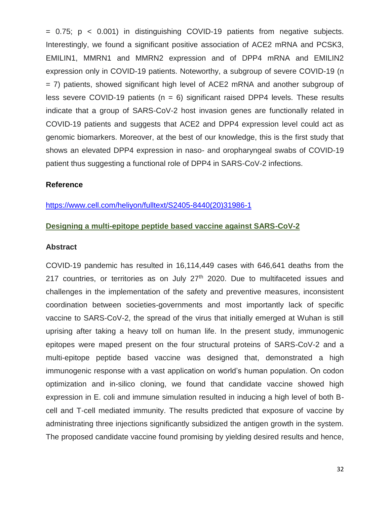$= 0.75$ ;  $p < 0.001$ ) in distinguishing COVID-19 patients from negative subjects. Interestingly, we found a significant positive association of ACE2 mRNA and PCSK3, EMILIN1, MMRN1 and MMRN2 expression and of DPP4 mRNA and EMILIN2 expression only in COVID-19 patients. Noteworthy, a subgroup of severe COVID-19 (n = 7) patients, showed significant high level of ACE2 mRNA and another subgroup of less severe COVID-19 patients ( $n = 6$ ) significant raised DPP4 levels. These results indicate that a group of SARS-CoV-2 host invasion genes are functionally related in COVID-19 patients and suggests that ACE2 and DPP4 expression level could act as genomic biomarkers. Moreover, at the best of our knowledge, this is the first study that shows an elevated DPP4 expression in naso- and oropharyngeal swabs of COVID-19 patient thus suggesting a functional role of DPP4 in SARS-CoV-2 infections.

# **Reference**

#### [https://www.cell.com/heliyon/fulltext/S2405-8440\(20\)31986-1](https://www.cell.com/heliyon/fulltext/S2405-8440(20)31986-1)

#### **Designing a multi-epitope peptide based vaccine against SARS-CoV-2**

#### **Abstract**

COVID-19 pandemic has resulted in 16,114,449 cases with 646,641 deaths from the 217 countries, or territories as on July  $27<sup>th</sup>$  2020. Due to multifaceted issues and challenges in the implementation of the safety and preventive measures, inconsistent coordination between societies-governments and most importantly lack of specific vaccine to SARS-CoV-2, the spread of the virus that initially emerged at Wuhan is still uprising after taking a heavy toll on human life. In the present study, immunogenic epitopes were maped present on the four structural proteins of SARS-CoV-2 and a multi-epitope peptide based vaccine was designed that, demonstrated a high immunogenic response with a vast application on world's human population. On codon optimization and in-silico cloning, we found that candidate vaccine showed high expression in E. coli and immune simulation resulted in inducing a high level of both Bcell and T-cell mediated immunity. The results predicted that exposure of vaccine by administrating three injections significantly subsidized the antigen growth in the system. The proposed candidate vaccine found promising by yielding desired results and hence,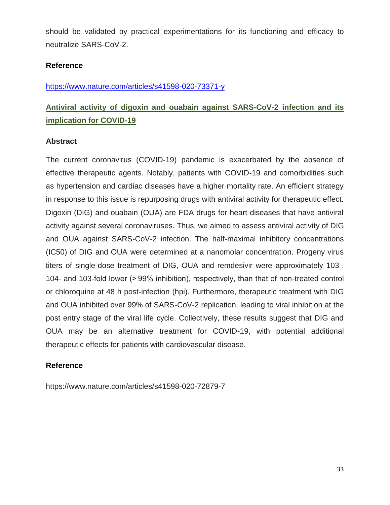should be validated by practical experimentations for its functioning and efficacy to neutralize SARS-CoV-2.

# **Reference**

<https://www.nature.com/articles/s41598-020-73371-y>

# **Antiviral activity of digoxin and ouabain against SARS-CoV-2 infection and its implication for COVID-19**

# **Abstract**

The current coronavirus (COVID-19) pandemic is exacerbated by the absence of effective therapeutic agents. Notably, patients with COVID-19 and comorbidities such as hypertension and cardiac diseases have a higher mortality rate. An efficient strategy in response to this issue is repurposing drugs with antiviral activity for therapeutic effect. Digoxin (DIG) and ouabain (OUA) are FDA drugs for heart diseases that have antiviral activity against several coronaviruses. Thus, we aimed to assess antiviral activity of DIG and OUA against SARS-CoV-2 infection. The half-maximal inhibitory concentrations (IC50) of DIG and OUA were determined at a nanomolar concentration. Progeny virus titers of single-dose treatment of DIG, OUA and remdesivir were approximately 103-, 104- and 103-fold lower (> 99% inhibition), respectively, than that of non-treated control or chloroquine at 48 h post-infection (hpi). Furthermore, therapeutic treatment with DIG and OUA inhibited over 99% of SARS-CoV-2 replication, leading to viral inhibition at the post entry stage of the viral life cycle. Collectively, these results suggest that DIG and OUA may be an alternative treatment for COVID-19, with potential additional therapeutic effects for patients with cardiovascular disease.

# **Reference**

https://www.nature.com/articles/s41598-020-72879-7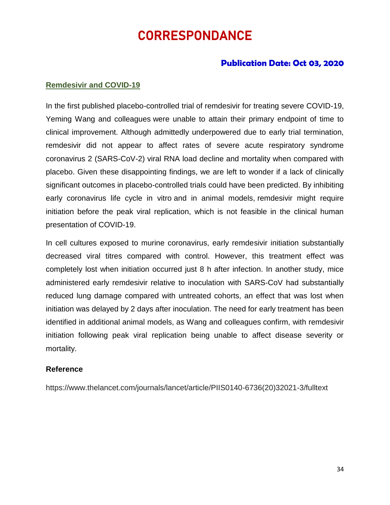# CORRESPONDANCE

# **Publication Date: Oct 03, 2020**

#### **Remdesivir and COVID-19**

In the first published placebo-controlled trial of remdesivir for treating severe COVID-19, Yeming Wang and colleagues were unable to attain their primary endpoint of time to clinical improvement. Although admittedly underpowered due to early trial termination, remdesivir did not appear to affect rates of severe acute respiratory syndrome coronavirus 2 (SARS-CoV-2) viral RNA load decline and mortality when compared with placebo. Given these disappointing findings, we are left to wonder if a lack of clinically significant outcomes in placebo-controlled trials could have been predicted. By inhibiting early coronavirus life cycle in vitro and in animal models, remdesivir might require initiation before the peak viral replication, which is not feasible in the clinical human presentation of COVID-19.

In cell cultures exposed to murine coronavirus, early remdesivir initiation substantially decreased viral titres compared with control. However, this treatment effect was completely lost when initiation occurred just 8 h after infection. In another study, mice administered early remdesivir relative to inoculation with SARS-CoV had substantially reduced lung damage compared with untreated cohorts, an effect that was lost when initiation was delayed by 2 days after inoculation. The need for early treatment has been identified in additional animal models, as Wang and colleagues confirm, with remdesivir initiation following peak viral replication being unable to affect disease severity or mortality.

#### **Reference**

https://www.thelancet.com/journals/lancet/article/PIIS0140-6736(20)32021-3/fulltext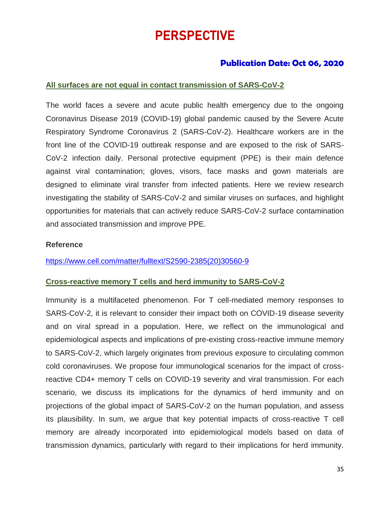# PERSPECTIVE

# **Publication Date: Oct 06, 2020**

# **All surfaces are not equal in contact transmission of SARS-CoV-2**

The world faces a severe and acute public health emergency due to the ongoing Coronavirus Disease 2019 (COVID-19) global pandemic caused by the Severe Acute Respiratory Syndrome Coronavirus 2 (SARS-CoV-2). Healthcare workers are in the front line of the COVID-19 outbreak response and are exposed to the risk of SARS-CoV-2 infection daily. Personal protective equipment (PPE) is their main defence against viral contamination; gloves, visors, face masks and gown materials are designed to eliminate viral transfer from infected patients. Here we review research investigating the stability of SARS-CoV-2 and similar viruses on surfaces, and highlight opportunities for materials that can actively reduce SARS-CoV-2 surface contamination and associated transmission and improve PPE.

#### **Reference**

[https://www.cell.com/matter/fulltext/S2590-2385\(20\)30560-9](https://www.cell.com/matter/fulltext/S2590-2385(20)30560-9)

# **Cross-reactive memory T cells and herd immunity to SARS-CoV-2**

Immunity is a multifaceted phenomenon. For T cell-mediated memory responses to SARS-CoV-2, it is relevant to consider their impact both on COVID-19 disease severity and on viral spread in a population. Here, we reflect on the immunological and epidemiological aspects and implications of pre-existing cross-reactive immune memory to SARS-CoV-2, which largely originates from previous exposure to circulating common cold coronaviruses. We propose four immunological scenarios for the impact of crossreactive CD4+ memory T cells on COVID-19 severity and viral transmission. For each scenario, we discuss its implications for the dynamics of herd immunity and on projections of the global impact of SARS-CoV-2 on the human population, and assess its plausibility. In sum, we argue that key potential impacts of cross-reactive T cell memory are already incorporated into epidemiological models based on data of transmission dynamics, particularly with regard to their implications for herd immunity.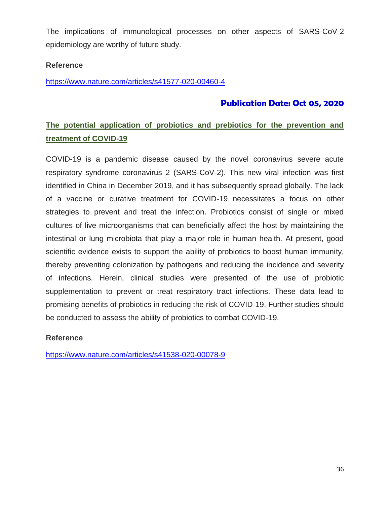The implications of immunological processes on other aspects of SARS-CoV-2 epidemiology are worthy of future study.

# **Reference**

<https://www.nature.com/articles/s41577-020-00460-4>

# **Publication Date: Oct 05, 2020**

# **The potential application of probiotics and prebiotics for the prevention and treatment of COVID-19**

COVID-19 is a pandemic disease caused by the novel coronavirus severe acute respiratory syndrome coronavirus 2 (SARS-CoV-2). This new viral infection was first identified in China in December 2019, and it has subsequently spread globally. The lack of a vaccine or curative treatment for COVID-19 necessitates a focus on other strategies to prevent and treat the infection. Probiotics consist of single or mixed cultures of live microorganisms that can beneficially affect the host by maintaining the intestinal or lung microbiota that play a major role in human health. At present, good scientific evidence exists to support the ability of probiotics to boost human immunity, thereby preventing colonization by pathogens and reducing the incidence and severity of infections. Herein, clinical studies were presented of the use of probiotic supplementation to prevent or treat respiratory tract infections. These data lead to promising benefits of probiotics in reducing the risk of COVID-19. Further studies should be conducted to assess the ability of probiotics to combat COVID-19.

# **Reference**

<https://www.nature.com/articles/s41538-020-00078-9>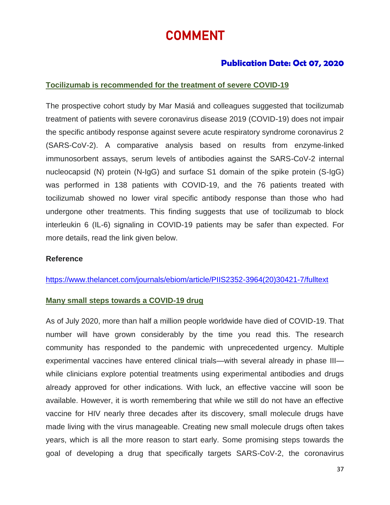# COMMENT

# **Publication Date: Oct 07, 2020**

# **Tocilizumab is recommended for the treatment of severe COVID-19**

The prospective cohort study by Mar Masiá and colleagues suggested that tocilizumab treatment of patients with severe coronavirus disease 2019 (COVID-19) does not impair the specific antibody response against severe acute respiratory syndrome coronavirus 2 (SARS-CoV-2). A comparative analysis based on results from enzyme-linked immunosorbent assays, serum levels of antibodies against the SARS-CoV-2 internal nucleocapsid (N) protein (N-IgG) and surface S1 domain of the spike protein (S-IgG) was performed in 138 patients with COVID-19, and the 76 patients treated with tocilizumab showed no lower viral specific antibody response than those who had undergone other treatments. This finding suggests that use of tocilizumab to block interleukin 6 (IL-6) signaling in COVID-19 patients may be safer than expected. For more details, read the link given below.

#### **Reference**

[https://www.thelancet.com/journals/ebiom/article/PIIS2352-3964\(20\)30421-7/fulltext](https://www.thelancet.com/journals/ebiom/article/PIIS2352-3964(20)30421-7/fulltext)

#### **Many small steps towards a COVID-19 drug**

As of July 2020, more than half a million people worldwide have died of COVID-19. That number will have grown considerably by the time you read this. The research community has responded to the pandemic with unprecedented urgency. Multiple experimental vaccines have entered clinical trials—with several already in phase III while clinicians explore potential treatments using experimental antibodies and drugs already approved for other indications. With luck, an effective vaccine will soon be available. However, it is worth remembering that while we still do not have an effective vaccine for HIV nearly three decades after its discovery, small molecule drugs have made living with the virus manageable. Creating new small molecule drugs often takes years, which is all the more reason to start early. Some promising steps towards the goal of developing a drug that specifically targets SARS-CoV-2, the coronavirus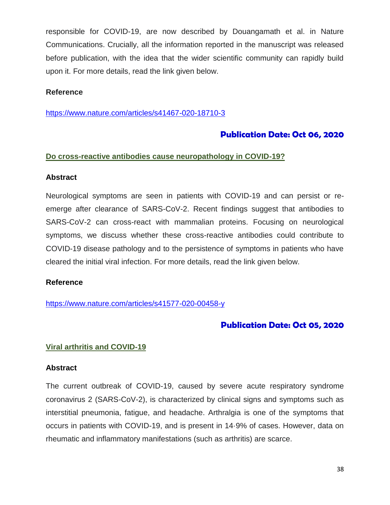responsible for COVID-19, are now described by Douangamath et al. in Nature Communications. Crucially, all the information reported in the manuscript was released before publication, with the idea that the wider scientific community can rapidly build upon it. For more details, read the link given below.

### **Reference**

<https://www.nature.com/articles/s41467-020-18710-3>

# **Publication Date: Oct 06, 2020**

#### **Do cross-reactive antibodies cause neuropathology in COVID-19?**

#### **Abstract**

Neurological symptoms are seen in patients with COVID-19 and can persist or reemerge after clearance of SARS-CoV-2. Recent findings suggest that antibodies to SARS-CoV-2 can cross-react with mammalian proteins. Focusing on neurological symptoms, we discuss whether these cross-reactive antibodies could contribute to COVID-19 disease pathology and to the persistence of symptoms in patients who have cleared the initial viral infection. For more details, read the link given below.

#### **Reference**

<https://www.nature.com/articles/s41577-020-00458-y>

# **Publication Date: Oct 05, 2020**

#### **Viral arthritis and COVID-19**

#### **Abstract**

The current outbreak of COVID-19, caused by severe acute respiratory syndrome coronavirus 2 (SARS-CoV-2), is characterized by clinical signs and symptoms such as interstitial pneumonia, fatigue, and headache. Arthralgia is one of the symptoms that occurs in patients with COVID-19, and is present in 14·9% of cases. However, data on rheumatic and inflammatory manifestations (such as arthritis) are scarce.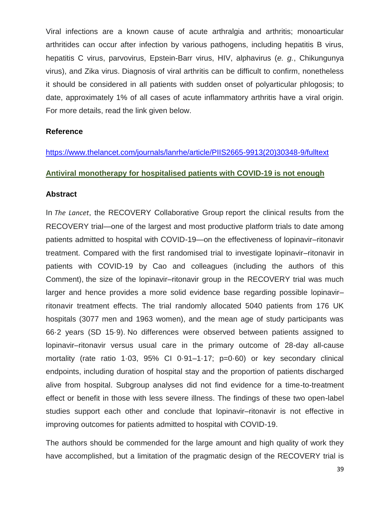Viral infections are a known cause of acute arthralgia and arthritis; monoarticular arthritides can occur after infection by various pathogens, including hepatitis B virus, hepatitis C virus, parvovirus, Epstein-Barr virus, HIV, alphavirus (*e. g.*, Chikungunya virus), and Zika virus. Diagnosis of viral arthritis can be difficult to confirm, nonetheless it should be considered in all patients with sudden onset of polyarticular phlogosis; to date, approximately 1% of all cases of acute inflammatory arthritis have a viral origin. For more details, read the link given below.

#### **Reference**

[https://www.thelancet.com/journals/lanrhe/article/PIIS2665-9913\(20\)30348-9/fulltext](https://www.thelancet.com/journals/lanrhe/article/PIIS2665-9913(20)30348-9/fulltext)

#### **Antiviral monotherapy for hospitalised patients with COVID-19 is not enough**

#### **Abstract**

In *The Lancet*, the RECOVERY Collaborative Group report the clinical results from the RECOVERY trial—one of the largest and most productive platform trials to date among patients admitted to hospital with COVID-19—on the effectiveness of lopinavir–ritonavir treatment. Compared with the first randomised trial to investigate lopinavir–ritonavir in patients with COVID-19 by Cao and colleagues (including the authors of this Comment), the size of the lopinavir–ritonavir group in the RECOVERY trial was much larger and hence provides a more solid evidence base regarding possible lopinavir– ritonavir treatment effects. The trial randomly allocated 5040 patients from 176 UK hospitals (3077 men and 1963 women), and the mean age of study participants was 66·2 years (SD 15·9). No differences were observed between patients assigned to lopinavir–ritonavir versus usual care in the primary outcome of 28-day all-cause mortality (rate ratio 1·03, 95% CI 0·91–1·17; p=0·60) or key secondary clinical endpoints, including duration of hospital stay and the proportion of patients discharged alive from hospital. Subgroup analyses did not find evidence for a time-to-treatment effect or benefit in those with less severe illness. The findings of these two open-label studies support each other and conclude that lopinavir–ritonavir is not effective in improving outcomes for patients admitted to hospital with COVID-19.

The authors should be commended for the large amount and high quality of work they have accomplished, but a limitation of the pragmatic design of the RECOVERY trial is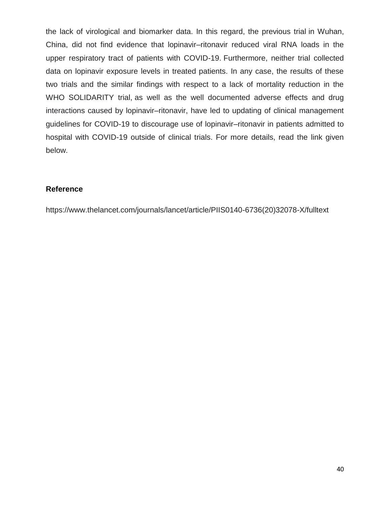the lack of virological and biomarker data. In this regard, the previous trial in Wuhan, China, did not find evidence that lopinavir–ritonavir reduced viral RNA loads in the upper respiratory tract of patients with COVID-19. Furthermore, neither trial collected data on lopinavir exposure levels in treated patients. In any case, the results of these two trials and the similar findings with respect to a lack of mortality reduction in the WHO SOLIDARITY trial, as well as the well documented adverse effects and drug interactions caused by lopinavir–ritonavir, have led to updating of clinical management guidelines for COVID-19 to discourage use of lopinavir–ritonavir in patients admitted to hospital with COVID-19 outside of clinical trials. For more details, read the link given below.

# **Reference**

https://www.thelancet.com/journals/lancet/article/PIIS0140-6736(20)32078-X/fulltext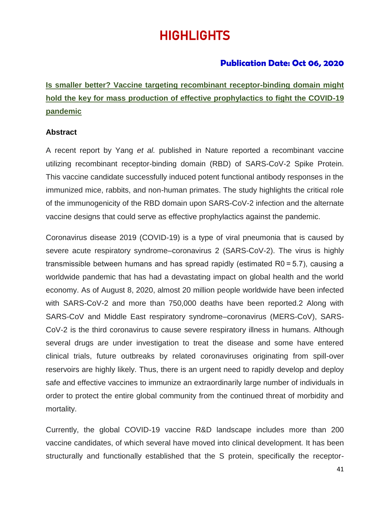# HIGHLIGHTS

# **Publication Date: Oct 06, 2020**

**Is smaller better? Vaccine targeting recombinant receptor-binding domain might hold the key for mass production of effective prophylactics to fight the COVID-19 pandemic**

#### **Abstract**

A recent report by Yang *et al.* published in Nature reported a recombinant vaccine utilizing recombinant receptor-binding domain (RBD) of SARS-CoV-2 Spike Protein. This vaccine candidate successfully induced potent functional antibody responses in the immunized mice, rabbits, and non-human primates. The study highlights the critical role of the immunogenicity of the RBD domain upon SARS-CoV-2 infection and the alternate vaccine designs that could serve as effective prophylactics against the pandemic.

Coronavirus disease 2019 (COVID-19) is a type of viral pneumonia that is caused by severe acute respiratory syndrome–coronavirus 2 (SARS-CoV-2). The virus is highly transmissible between humans and has spread rapidly (estimated R0 = 5.7), causing a worldwide pandemic that has had a devastating impact on global health and the world economy. As of August 8, 2020, almost 20 million people worldwide have been infected with SARS-CoV-2 and more than 750,000 deaths have been reported.2 Along with SARS-CoV and Middle East respiratory syndrome–coronavirus (MERS-CoV), SARS-CoV-2 is the third coronavirus to cause severe respiratory illness in humans. Although several drugs are under investigation to treat the disease and some have entered clinical trials, future outbreaks by related coronaviruses originating from spill-over reservoirs are highly likely. Thus, there is an urgent need to rapidly develop and deploy safe and effective vaccines to immunize an extraordinarily large number of individuals in order to protect the entire global community from the continued threat of morbidity and mortality.

Currently, the global COVID-19 vaccine R&D landscape includes more than 200 vaccine candidates, of which several have moved into clinical development. It has been structurally and functionally established that the S protein, specifically the receptor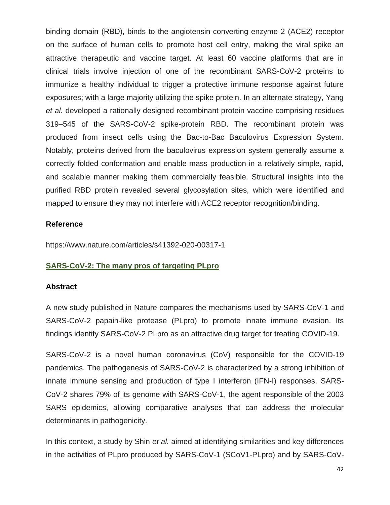binding domain (RBD), binds to the angiotensin-converting enzyme 2 (ACE2) receptor on the surface of human cells to promote host cell entry, making the viral spike an attractive therapeutic and vaccine target. At least 60 vaccine platforms that are in clinical trials involve injection of one of the recombinant SARS-CoV-2 proteins to immunize a healthy individual to trigger a protective immune response against future exposures; with a large majority utilizing the spike protein. In an alternate strategy, Yang *et al.* developed a rationally designed recombinant protein vaccine comprising residues 319–545 of the SARS-CoV-2 spike-protein RBD. The recombinant protein was produced from insect cells using the Bac-to-Bac Baculovirus Expression System. Notably, proteins derived from the baculovirus expression system generally assume a correctly folded conformation and enable mass production in a relatively simple, rapid, and scalable manner making them commercially feasible. Structural insights into the purified RBD protein revealed several glycosylation sites, which were identified and mapped to ensure they may not interfere with ACE2 receptor recognition/binding.

#### **Reference**

https://www.nature.com/articles/s41392-020-00317-1

# **SARS-CoV-2: The many pros of targeting PLpro**

#### **Abstract**

A new study published in Nature compares the mechanisms used by SARS-CoV-1 and SARS-CoV-2 papain-like protease (PLpro) to promote innate immune evasion. Its findings identify SARS-CoV-2 PLpro as an attractive drug target for treating COVID-19.

SARS-CoV-2 is a novel human coronavirus (CoV) responsible for the COVID-19 pandemics. The pathogenesis of SARS-CoV-2 is characterized by a strong inhibition of innate immune sensing and production of type I interferon (IFN-I) responses. SARS-CoV-2 shares 79% of its genome with SARS-CoV-1, the agent responsible of the 2003 SARS epidemics, allowing comparative analyses that can address the molecular determinants in pathogenicity.

In this context, a study by Shin *et al.* aimed at identifying similarities and key differences in the activities of PLpro produced by SARS-CoV-1 (SCoV1-PLpro) and by SARS-CoV-